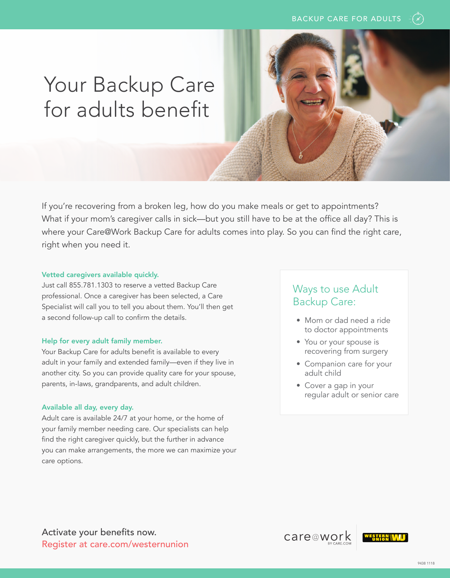# Your Backup Care for adults benefit

If you're recovering from a broken leg, how do you make meals or get to appointments? What if your mom's caregiver calls in sick—but you still have to be at the office all day? This is where your Care@Work Backup Care for adults comes into play. So you can find the right care, right when you need it.

#### Vetted caregivers available quickly.

Just call 855.781.1303 to reserve a vetted Backup Care professional. Once a caregiver has been selected, a Care Specialist will call you to tell you about them. You'll then get a second follow-up call to confirm the details.

#### Help for every adult family member.

Your Backup Care for adults benefit is available to every adult in your family and extended family—even if they live in another city. So you can provide quality care for your spouse, parents, in-laws, grandparents, and adult children.

#### Available all day, every day.

Adult care is available 24/7 at your home, or the home of your family member needing care. Our specialists can help find the right caregiver quickly, but the further in advance you can make arrangements, the more we can maximize your care options.

### Ways to use Adult Backup Care:

- Mom or dad need a ride to doctor appointments
- You or your spouse is recovering from surgery
- Companion care for your adult child
- Cover a gap in your regular adult or senior care